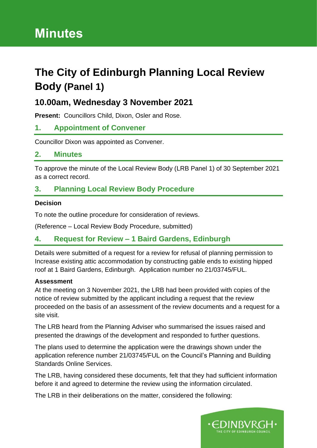# **Minutes**

# **The City of Edinburgh Planning Local Review Body (Panel 1)**

# **10.00am, Wednesday 3 November 2021**

**Present:** Councillors Child, Dixon, Osler and Rose.

## **1. Appointment of Convener**

Councillor Dixon was appointed as Convener.

#### **2. Minutes**

To approve the minute of the Local Review Body (LRB Panel 1) of 30 September 2021 as a correct record.

# **3. Planning Local Review Body Procedure**

#### **Decision**

To note the outline procedure for consideration of reviews.

(Reference – Local Review Body Procedure, submitted)

## **4. Request for Review – 1 Baird Gardens, Edinburgh**

Details were submitted of a request for a review for refusal of planning permission to Increase existing attic accommodation by constructing gable ends to existing hipped roof at 1 Baird Gardens, Edinburgh. Application number no 21/03745/FUL.

#### **Assessment**

At the meeting on 3 November 2021, the LRB had been provided with copies of the notice of review submitted by the applicant including a request that the review proceeded on the basis of an assessment of the review documents and a request for a site visit.

The LRB heard from the Planning Adviser who summarised the issues raised and presented the drawings of the development and responded to further questions.

The plans used to determine the application were the drawings shown under the application reference number 21/03745/FUL on the Council's Planning and Building Standards Online Services.

The LRB, having considered these documents, felt that they had sufficient information before it and agreed to determine the review using the information circulated.

The LRB in their deliberations on the matter, considered the following:

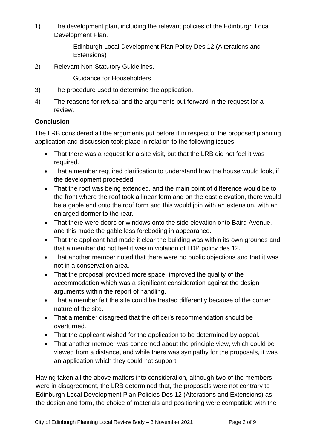1) The development plan, including the relevant policies of the Edinburgh Local Development Plan.

> Edinburgh Local Development Plan Policy Des 12 (Alterations and Extensions)

2) Relevant Non-Statutory Guidelines.

Guidance for Householders

- 3) The procedure used to determine the application.
- 4) The reasons for refusal and the arguments put forward in the request for a review.

#### **Conclusion**

The LRB considered all the arguments put before it in respect of the proposed planning application and discussion took place in relation to the following issues:

- That there was a request for a site visit, but that the LRB did not feel it was required.
- That a member required clarification to understand how the house would look, if the development proceeded.
- That the roof was being extended, and the main point of difference would be to the front where the roof took a linear form and on the east elevation, there would be a gable end onto the roof form and this would join with an extension, with an enlarged dormer to the rear.
- That there were doors or windows onto the side elevation onto Baird Avenue, and this made the gable less foreboding in appearance.
- That the applicant had made it clear the building was within its own grounds and that a member did not feel it was in violation of LDP policy des 12.
- That another member noted that there were no public objections and that it was not in a conservation area.
- That the proposal provided more space, improved the quality of the accommodation which was a significant consideration against the design arguments within the report of handling.
- That a member felt the site could be treated differently because of the corner nature of the site.
- That a member disagreed that the officer's recommendation should be overturned.
- That the applicant wished for the application to be determined by appeal.
- That another member was concerned about the principle view, which could be viewed from a distance, and while there was sympathy for the proposals, it was an application which they could not support.

Having taken all the above matters into consideration, although two of the members were in disagreement, the LRB determined that, the proposals were not contrary to Edinburgh Local Development Plan Policies Des 12 (Alterations and Extensions) as the design and form, the choice of materials and positioning were compatible with the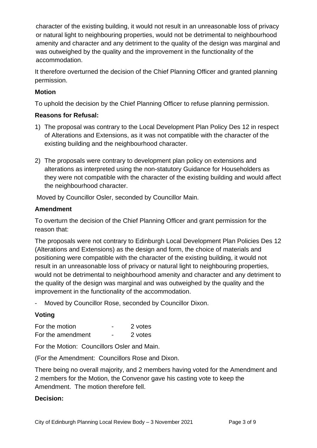character of the existing building, it would not result in an unreasonable loss of privacy or natural light to neighbouring properties, would not be detrimental to neighbourhood amenity and character and any detriment to the quality of the design was marginal and was outweighed by the quality and the improvement in the functionality of the accommodation.

It therefore overturned the decision of the Chief Planning Officer and granted planning permission.

### **Motion**

To uphold the decision by the Chief Planning Officer to refuse planning permission.

#### **Reasons for Refusal:**

- 1) The proposal was contrary to the Local Development Plan Policy Des 12 in respect of Alterations and Extensions, as it was not compatible with the character of the existing building and the neighbourhood character.
- 2) The proposals were contrary to development plan policy on extensions and alterations as interpreted using the non-statutory Guidance for Householders as they were not compatible with the character of the existing building and would affect the neighbourhood character.

Moved by Councillor Osler, seconded by Councillor Main.

#### **Amendment**

To overturn the decision of the Chief Planning Officer and grant permission for the reason that:

The proposals were not contrary to Edinburgh Local Development Plan Policies Des 12 (Alterations and Extensions) as the design and form, the choice of materials and positioning were compatible with the character of the existing building, it would not result in an unreasonable loss of privacy or natural light to neighbouring properties, would not be detrimental to neighbourhood amenity and character and any detriment to the quality of the design was marginal and was outweighed by the quality and the improvement in the functionality of the accommodation.

- Moved by Councillor Rose, seconded by Councillor Dixon.

## **Voting**

For the motion **For the motion For the motion** For the amendment - 2 votes

For the Motion: Councillors Osler and Main.

(For the Amendment: Councillors Rose and Dixon.

There being no overall majority, and 2 members having voted for the Amendment and 2 members for the Motion, the Convenor gave his casting vote to keep the Amendment. The motion therefore fell.

#### **Decision:**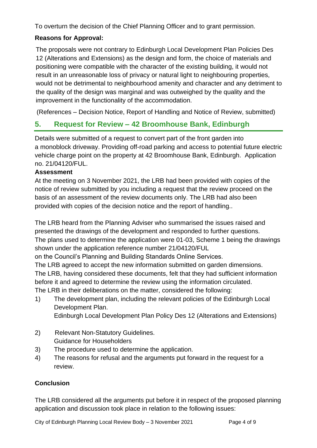To overturn the decision of the Chief Planning Officer and to grant permission.

## **Reasons for Approval:**

The proposals were not contrary to Edinburgh Local Development Plan Policies Des 12 (Alterations and Extensions) as the design and form, the choice of materials and positioning were compatible with the character of the existing building, it would not result in an unreasonable loss of privacy or natural light to neighbouring properties, would not be detrimental to neighbourhood amenity and character and any detriment to the quality of the design was marginal and was outweighed by the quality and the improvement in the functionality of the accommodation.

(References – Decision Notice, Report of Handling and Notice of Review, submitted)

# **5. Request for Review – 42 Broomhouse Bank, Edinburgh**

Details were submitted of a request to convert part of the front garden into a monoblock driveway. Providing off-road parking and access to potential future electric vehicle charge point on the property at 42 Broomhouse Bank, Edinburgh. Application no. 21/04120/FUL.

#### **Assessment**

At the meeting on 3 November 2021, the LRB had been provided with copies of the notice of review submitted by you including a request that the review proceed on the basis of an assessment of the review documents only. The LRB had also been provided with copies of the decision notice and the report of handling..

The LRB heard from the Planning Adviser who summarised the issues raised and presented the drawings of the development and responded to further questions. The plans used to determine the application were 01-03, Scheme 1 being the drawings shown under the application reference number 21/04120/FUL

on the Council's Planning and Building Standards Online Services.

The LRB agreed to accept the new information submitted on garden dimensions. The LRB, having considered these documents, felt that they had sufficient information before it and agreed to determine the review using the information circulated. The LRB in their deliberations on the matter, considered the following:

- 1) The development plan, including the relevant policies of the Edinburgh Local Development Plan.
	- Edinburgh Local Development Plan Policy Des 12 (Alterations and Extensions)
- 2) Relevant Non-Statutory Guidelines. Guidance for Householders
- 3) The procedure used to determine the application.
- 4) The reasons for refusal and the arguments put forward in the request for a review.

## **Conclusion**

The LRB considered all the arguments put before it in respect of the proposed planning application and discussion took place in relation to the following issues:

City of Edinburgh Planning Local Review Body - 3 November 2021 Page 4 of 9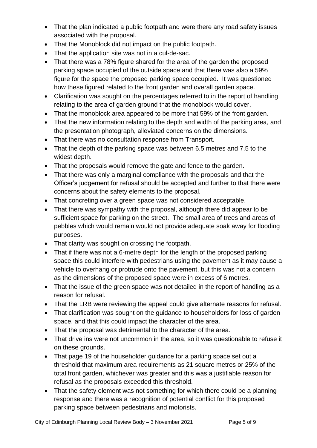- That the plan indicated a public footpath and were there any road safety issues associated with the proposal.
- That the Monoblock did not impact on the public footpath.
- That the application site was not in a cul-de-sac.
- That there was a 78% figure shared for the area of the garden the proposed parking space occupied of the outside space and that there was also a 59% figure for the space the proposed parking space occupied. It was questioned how these figured related to the front garden and overall garden space.
- Clarification was sought on the percentages referred to in the report of handling relating to the area of garden ground that the monoblock would cover.
- That the monoblock area appeared to be more that 59% of the front garden.
- That the new information relating to the depth and width of the parking area, and the presentation photograph, alleviated concerns on the dimensions.
- That there was no consultation response from Transport.
- That the depth of the parking space was between 6.5 metres and 7.5 to the widest depth.
- That the proposals would remove the gate and fence to the garden.
- That there was only a marginal compliance with the proposals and that the Officer's judgement for refusal should be accepted and further to that there were concerns about the safety elements to the proposal.
- That concreting over a green space was not considered acceptable.
- That there was sympathy with the proposal, although there did appear to be sufficient space for parking on the street. The small area of trees and areas of pebbles which would remain would not provide adequate soak away for flooding purposes.
- That clarity was sought on crossing the footpath.
- That if there was not a 6-metre depth for the length of the proposed parking space this could interfere with pedestrians using the pavement as it may cause a vehicle to overhang or protrude onto the pavement, but this was not a concern as the dimensions of the proposed space were in excess of 6 metres.
- That the issue of the green space was not detailed in the report of handling as a reason for refusal.
- That the LRB were reviewing the appeal could give alternate reasons for refusal.
- That clarification was sought on the guidance to householders for loss of garden space, and that this could impact the character of the area.
- That the proposal was detrimental to the character of the area.
- That drive ins were not uncommon in the area, so it was questionable to refuse it on these grounds.
- That page 19 of the householder guidance for a parking space set out a threshold that maximum area requirements as 21 square metres or 25% of the total front garden, whichever was greater and this was a justifiable reason for refusal as the proposals exceeded this threshold.
- That the safety element was not something for which there could be a planning response and there was a recognition of potential conflict for this proposed parking space between pedestrians and motorists.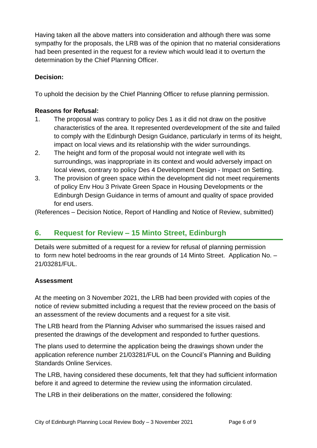Having taken all the above matters into consideration and although there was some sympathy for the proposals, the LRB was of the opinion that no material considerations had been presented in the request for a review which would lead it to overturn the determination by the Chief Planning Officer.

#### **Decision:**

To uphold the decision by the Chief Planning Officer to refuse planning permission.

#### **Reasons for Refusal:**

- 1. The proposal was contrary to policy Des 1 as it did not draw on the positive characteristics of the area. It represented overdevelopment of the site and failed to comply with the Edinburgh Design Guidance, particularly in terms of its height, impact on local views and its relationship with the wider surroundings.
- 2. The height and form of the proposal would not integrate well with its surroundings, was inappropriate in its context and would adversely impact on local views, contrary to policy Des 4 Development Design - Impact on Setting.
- 3. The provision of green space within the development did not meet requirements of policy Env Hou 3 Private Green Space in Housing Developments or the Edinburgh Design Guidance in terms of amount and quality of space provided for end users.

(References – Decision Notice, Report of Handling and Notice of Review, submitted)

# **6. Request for Review – 15 Minto Street, Edinburgh**

Details were submitted of a request for a review for refusal of planning permission to form new hotel bedrooms in the rear grounds of 14 Minto Street. Application No. – 21/03281/FUL.

#### **Assessment**

At the meeting on 3 November 2021, the LRB had been provided with copies of the notice of review submitted including a request that the review proceed on the basis of an assessment of the review documents and a request for a site visit.

The LRB heard from the Planning Adviser who summarised the issues raised and presented the drawings of the development and responded to further questions.

The plans used to determine the application being the drawings shown under the application reference number 21/03281/FUL on the Council's Planning and Building Standards Online Services.

The LRB, having considered these documents, felt that they had sufficient information before it and agreed to determine the review using the information circulated.

The LRB in their deliberations on the matter, considered the following: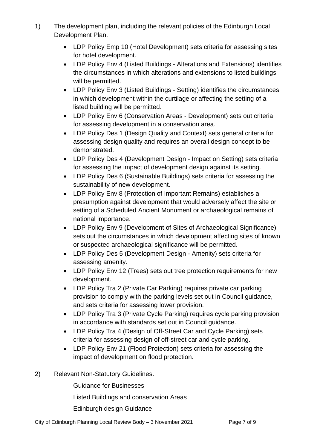- 1) The development plan, including the relevant policies of the Edinburgh Local Development Plan.
	- LDP Policy Emp 10 (Hotel Development) sets criteria for assessing sites for hotel development.
	- LDP Policy Env 4 (Listed Buildings Alterations and Extensions) identifies the circumstances in which alterations and extensions to listed buildings will be permitted.
	- LDP Policy Env 3 (Listed Buildings Setting) identifies the circumstances in which development within the curtilage or affecting the setting of a listed building will be permitted.
	- LDP Policy Env 6 (Conservation Areas Development) sets out criteria for assessing development in a conservation area.
	- LDP Policy Des 1 (Design Quality and Context) sets general criteria for assessing design quality and requires an overall design concept to be demonstrated.
	- LDP Policy Des 4 (Development Design Impact on Setting) sets criteria for assessing the impact of development design against its setting.
	- LDP Policy Des 6 (Sustainable Buildings) sets criteria for assessing the sustainability of new development.
	- LDP Policy Env 8 (Protection of Important Remains) establishes a presumption against development that would adversely affect the site or setting of a Scheduled Ancient Monument or archaeological remains of national importance.
	- LDP Policy Env 9 (Development of Sites of Archaeological Significance) sets out the circumstances in which development affecting sites of known or suspected archaeological significance will be permitted.
	- LDP Policy Des 5 (Development Design Amenity) sets criteria for assessing amenity.
	- LDP Policy Env 12 (Trees) sets out tree protection requirements for new development.
	- LDP Policy Tra 2 (Private Car Parking) requires private car parking provision to comply with the parking levels set out in Council guidance, and sets criteria for assessing lower provision.
	- LDP Policy Tra 3 (Private Cycle Parking) requires cycle parking provision in accordance with standards set out in Council guidance.
	- LDP Policy Tra 4 (Design of Off-Street Car and Cycle Parking) sets criteria for assessing design of off-street car and cycle parking.
	- LDP Policy Env 21 (Flood Protection) sets criteria for assessing the impact of development on flood protection.
- 2) Relevant Non-Statutory Guidelines.

Guidance for Businesses

Listed Buildings and conservation Areas

Edinburgh design Guidance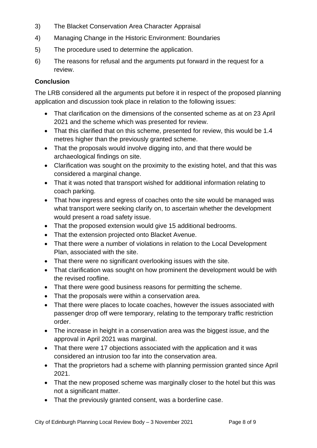- 3) The Blacket Conservation Area Character Appraisal
- 4) Managing Change in the Historic Environment: Boundaries
- 5) The procedure used to determine the application.
- 6) The reasons for refusal and the arguments put forward in the request for a review.

#### **Conclusion**

The LRB considered all the arguments put before it in respect of the proposed planning application and discussion took place in relation to the following issues:

- That clarification on the dimensions of the consented scheme as at on 23 April 2021 and the scheme which was presented for review.
- That this clarified that on this scheme, presented for review, this would be 1.4 metres higher than the previously granted scheme.
- That the proposals would involve digging into, and that there would be archaeological findings on site.
- Clarification was sought on the proximity to the existing hotel, and that this was considered a marginal change.
- That it was noted that transport wished for additional information relating to coach parking.
- That how ingress and egress of coaches onto the site would be managed was what transport were seeking clarify on, to ascertain whether the development would present a road safety issue.
- That the proposed extension would give 15 additional bedrooms.
- That the extension projected onto Blacket Avenue.
- That there were a number of violations in relation to the Local Development Plan, associated with the site.
- That there were no significant overlooking issues with the site.
- That clarification was sought on how prominent the development would be with the revised roofline.
- That there were good business reasons for permitting the scheme.
- That the proposals were within a conservation area.
- That there were places to locate coaches, however the issues associated with passenger drop off were temporary, relating to the temporary traffic restriction order.
- The increase in height in a conservation area was the biggest issue, and the approval in April 2021 was marginal.
- That there were 17 objections associated with the application and it was considered an intrusion too far into the conservation area.
- That the proprietors had a scheme with planning permission granted since April 2021.
- That the new proposed scheme was marginally closer to the hotel but this was not a significant matter.
- That the previously granted consent, was a borderline case.